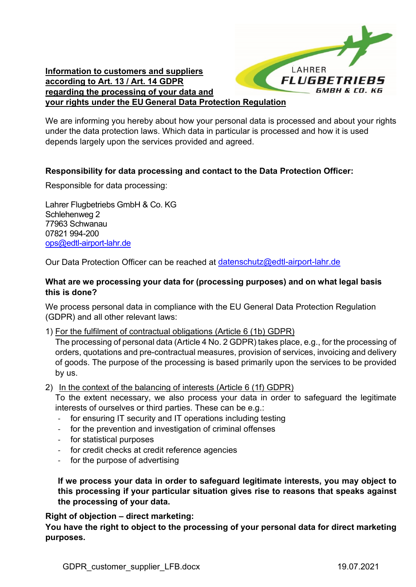

**Information to customers and suppliers according to Art. 13 / Art. 14 GDPR regarding the processing of your data and your rights under the EU General Data Protection Regulation**

We are informing you hereby about how your personal data is processed and about your rights under the data protection laws. Which data in particular is processed and how it is used depends largely upon the services provided and agreed.

# **Responsibility for data processing and contact to the Data Protection Officer:**

Responsible for data processing:

Lahrer Flugbetriebs GmbH & Co. KG Schlehenweg 2 77963 Schwanau 07821 994-200 [ops@edtl-airport-lahr.de](mailto:ops@edtl-airport-lahr.de)

Our Data Protection Officer can be reached at [datenschutz@edtl-airport-lahr.de](mailto:datenschutz@edtl-airport-lahr.de)

# **What are we processing your data for (processing purposes) and on what legal basis this is done?**

We process personal data in compliance with the EU General Data Protection Regulation (GDPR) and all other relevant laws:

1) For the fulfilment of contractual obligations (Article 6 (1b) GDPR)

The processing of personal data (Article 4 No. 2 GDPR) takes place, e.g., for the processing of orders, quotations and pre-contractual measures, provision of services, invoicing and delivery of goods. The purpose of the processing is based primarily upon the services to be provided by us.

2) In the context of the balancing of interests (Article 6 (1f) GDPR)

To the extent necessary, we also process your data in order to safeguard the legitimate interests of ourselves or third parties. These can be e.g.:

- for ensuring IT security and IT operations including testing
- for the prevention and investigation of criminal offenses
- for statistical purposes
- for credit checks at credit reference agencies
- for the purpose of advertising

**If we process your data in order to safeguard legitimate interests, you may object to this processing if your particular situation gives rise to reasons that speaks against the processing of your data.**

**Right of objection – direct marketing:**

**You have the right to object to the processing of your personal data for direct marketing purposes.**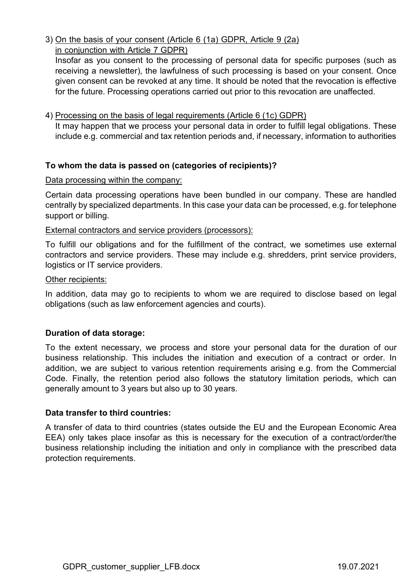3) On the basis of your consent (Article 6 (1a) GDPR, Article 9 (2a) in conjunction with Article 7 GDPR)

Insofar as you consent to the processing of personal data for specific purposes (such as receiving a newsletter), the lawfulness of such processing is based on your consent. Once given consent can be revoked at any time. It should be noted that the revocation is effective for the future. Processing operations carried out prior to this revocation are unaffected.

## 4) Processing on the basis of legal requirements (Article 6 (1c) GDPR)

It may happen that we process your personal data in order to fulfill legal obligations. These include e.g. commercial and tax retention periods and, if necessary, information to authorities

## **To whom the data is passed on (categories of recipients)?**

## Data processing within the company:

Certain data processing operations have been bundled in our company. These are handled centrally by specialized departments. In this case your data can be processed, e.g. for telephone support or billing.

## External contractors and service providers (processors):

To fulfill our obligations and for the fulfillment of the contract, we sometimes use external contractors and service providers. These may include e.g. shredders, print service providers, logistics or IT service providers.

#### Other recipients:

In addition, data may go to recipients to whom we are required to disclose based on legal obligations (such as law enforcement agencies and courts).

## **Duration of data storage:**

To the extent necessary, we process and store your personal data for the duration of our business relationship. This includes the initiation and execution of a contract or order. In addition, we are subject to various retention requirements arising e.g. from the Commercial Code. Finally, the retention period also follows the statutory limitation periods, which can generally amount to 3 years but also up to 30 years.

#### **Data transfer to third countries:**

A transfer of data to third countries (states outside the EU and the European Economic Area EEA) only takes place insofar as this is necessary for the execution of a contract/order/the business relationship including the initiation and only in compliance with the prescribed data protection requirements.